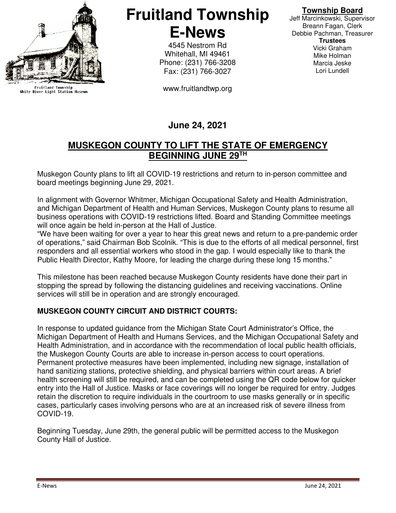

Fruitland Township<br>White River Light Station Museum

# **Fruitland Township E-News**

4545 Nestrom Rd Whitehall, MI 49461 Phone: (231) 766-3208 Fax: (231) 766-3027

www.fruitlandtwp.org

### **Township Board**

Jeff Marcinkowski, Supervisor Breann Fagan, Clerk Debbie Pachman, Treasurer **Trustees**  Vicki Graham Mike Holman Marcia Jeske Lori Lundell

# **June 24, 2021**

## **MUSKEGON COUNTY TO LIFT THE STATE OF EMERGENCY BEGINNING JUNE 29TH**

Muskegon County plans to lift all COVID-19 restrictions and return to in-person committee and board meetings beginning June 29, 2021.

In alignment with Governor Whitmer, Michigan Occupational Safety and Health Administration, and Michigan Department of Health and Human Services, Muskegon County plans to resume all business operations with COVID-19 restrictions lifted. Board and Standing Committee meetings will once again be held in-person at the Hall of Justice.

"We have been waiting for over a year to hear this great news and return to a pre-pandemic order of operations," said Chairman Bob Scolnik. "This is due to the efforts of all medical personnel, first responders and all essential workers who stood in the gap. I would especially like to thank the Public Health Director, Kathy Moore, for leading the charge during these long 15 months."

This milestone has been reached because Muskegon County residents have done their part in stopping the spread by following the distancing guidelines and receiving vaccinations. Online services will still be in operation and are strongly encouraged.

#### **MUSKEGON COUNTY CIRCUIT AND DISTRICT COURTS:**

In response to updated guidance from the Michigan State Court Administrator's Office, the Michigan Department of Health and Humans Services, and the Michigan Occupational Safety and Health Administration, and in accordance with the recommendation of local public health officials, the Muskegon County Courts are able to increase in-person access to court operations. Permanent protective measures have been implemented, including new signage, installation of hand sanitizing stations, protective shielding, and physical barriers within court areas. A brief health screening will still be required, and can be completed using the QR code below for quicker entry into the Hall of Justice. Masks or face coverings will no longer be required for entry. Judges retain the discretion to require individuals in the courtroom to use masks generally or in specific cases, particularly cases involving persons who are at an increased risk of severe illness from COVID-19.

Beginning Tuesday, June 29th, the general public will be permitted access to the Muskegon County Hall of Justice.